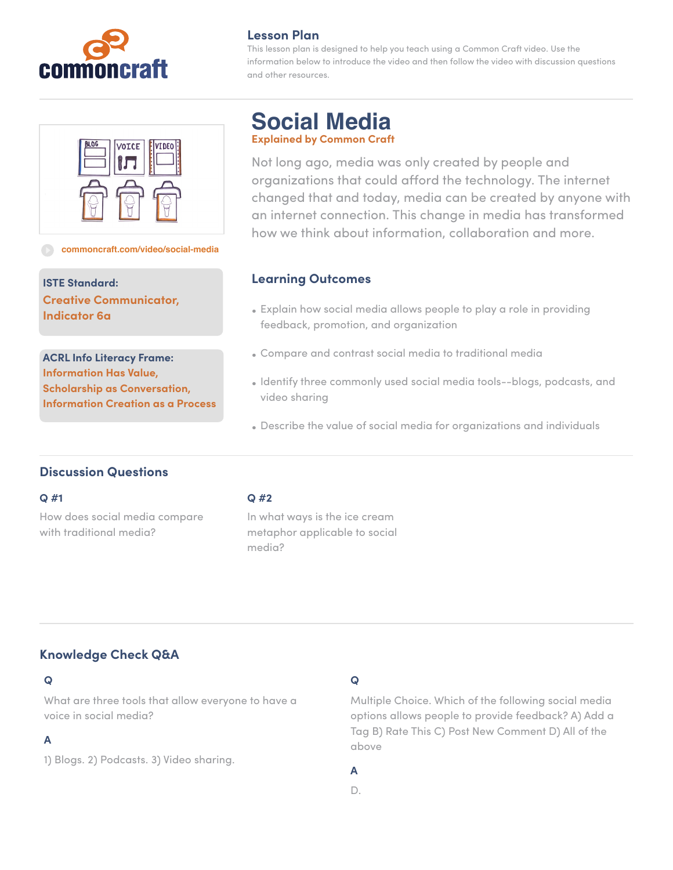

## **Lesson Plan**

This lesson plan is designed to help you teach using a Common Craft video. Use the information below to introduce the video and then follow the video with discussion questions and other resources.



#### **[commoncraft.com/video/social-media](http://commoncraft.com/video/social-media)**

**ISTE Standard: Creative Communicator, Indicator 6a**

**ACRL Info Literacy Frame: Information Has Value, Scholarship as Conversation, Information Creation as a Process**

# **Social Media Explained by Common Craft**

Not long ago, media was only created by people and organizations that could afford the technology. The internet changed that and today, media can be created by anyone with an internet connection. This change in media has transformed how we think about information, collaboration and more.

### **Learning Outcomes**

- Explain how social media allows people to play a role in providing feedback, promotion, and organization
- Compare and contrast social media to traditional media
- Identify three commonly used social media tools--blogs, podcasts, and video sharing
- Describe the value of social media for organizations and individuals

## **Discussion Questions**

#### **Q #1**

How does social media compare with traditional media?

#### **Q #2**

In what ways is the ice cream metaphor applicable to social media?

# **Knowledge Check Q&A**

### **Q**

What are three tools that allow everyone to have a voice in social media?

### **A**

1) Blogs. 2) Podcasts. 3) Video sharing.

### **Q**

Multiple Choice. Which of the following social media options allows people to provide feedback? A) Add a Tag B) Rate This C) Post New Comment D) All of the above

### **A**

D.